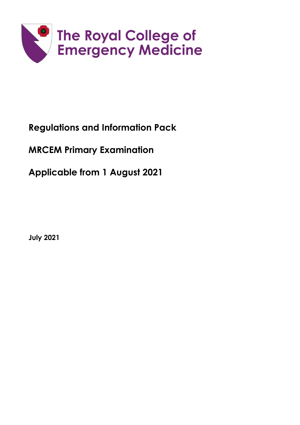

# **Regulations and Information Pack**

# **MRCEM Primary Examination**

**Applicable from 1 August 2021** 

**July 2021**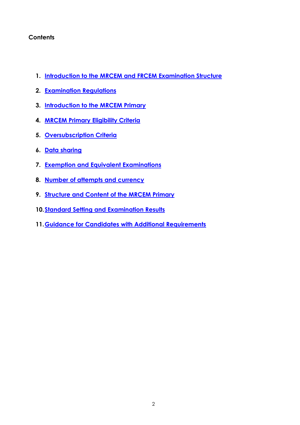## **Contents**

- **1. [Introduction to the MRCEM and FRCEM Examination Structure](#page-2-0)**
- **2. [Examination Regulations](#page-3-0)**
- **3. [Introduction to the MRCEM Primary](#page-4-0)**
- **4. [MRCEM Primary Eligibility Criteria](#page-4-1)**
- **5. [Oversubscription Criteria](#page-4-2)**
- **6. Data sharing**
- **7. [Exemption and Equivalent Examinations](#page-5-0)**
- **8. [Number of attempts and currency](#page-5-1)**
- **9. [Structure and Content of the MRCEM Primary](#page-6-0)**
- **10[.Standard Setting and Examination Results](#page-6-1)**
- **11[.Guidance for Candidates with Additional Requirements](#page-7-0)**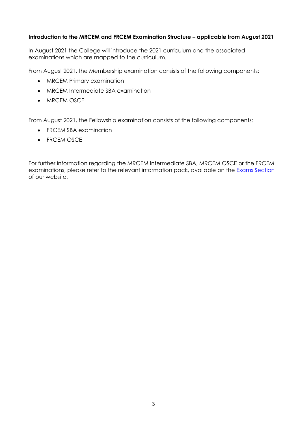#### <span id="page-2-0"></span>**Introduction to the MRCEM and FRCEM Examination Structure – applicable from August 2021**

In August 2021 the College will introduce the 2021 curriculum and the associated examinations which are mapped to the curriculum.

From August 2021, the Membership examination consists of the following components:

- MRCEM Primary examination
- MRCEM Intermediate SBA examination
- MRCEM OSCE

From August 2021, the Fellowship examination consists of the following components:

- FRCEM SBA examination
- FRCEM OSCE

For further information regarding the MRCEM Intermediate SBA, MRCEM OSCE or the FRCEM examinations, please refer to the relevant information pack, available on the [Exams Section](http://www.rcem.ac.uk/Training-Exams/Exams) of our website.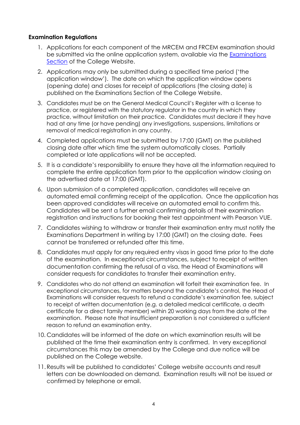#### <span id="page-3-0"></span>**Examination Regulations**

- 1. Applications for each component of the MRCEM and FRCEM examination should be submitted via the online application system, available via the [Examinations](http://www.rcem.ac.uk/Training-Exams/Exams) [Section](http://www.rcem.ac.uk/Training-Exams/Exams) of the College Website.
- 2. Applications may only be submitted during a specified time period ('the application window'). The date on which the application window opens (opening date) and closes for receipt of applications (the closing date) is published on the Examinations Section of the College Website.
- 3. Candidates must be on the General Medical Council's Register with a license to practice, or registered with the statutory regulator in the country in which they practice, without limitation on their practice. Candidates must declare if they have had at any time (or have pending) any investigations, suspensions, limitations or removal of medical registration in any country.
- 4. Completed applications must be submitted by 17:00 (GMT) on the published closing date after which time the system automatically closes. Partially completed or late applications will not be accepted.
- 5. It is a candidate's responsibility to ensure they have all the information required to complete the entire application form prior to the application window closing on the advertised date at 17:00 (GMT).
- 6. Upon submission of a completed application, candidates will receive an automated email confirming receipt of the application. Once the application has been approved candidates will receive an automated email to confirm this. Candidates will be sent a further email confirming details of their examination registration and instructions for booking their test appointment with Pearson VUE.
- 7. Candidates wishing to withdraw or transfer their examination entry must notify the Examinations Department in writing by 17:00 (GMT) on the closing date. Fees cannot be transferred or refunded after this time.
- 8. Candidates must apply for any required entry visas in good time prior to the date of the examination. In exceptional circumstances, subject to receipt of written documentation confirming the refusal of a visa, the Head of Examinations will consider requests for candidates to transfer their examination entry.
- 9. Candidates who do not attend an examination will forfeit their examination fee. In exceptional circumstances, for matters beyond the candidate's control, the Head of Examinations will consider requests to refund a candidate's examination fee, subject to receipt of written documentation (e.g. a detailed medical certificate, a death certificate for a direct family member) within 20 working days from the date of the examination. Please note that insufficient preparation is not considered a sufficient reason to refund an examination entry.
- 10. Candidates will be informed of the date on which examination results will be published at the time their examination entry is confirmed. In very exceptional circumstances this may be amended by the College and due notice will be published on the College website.
- 11.Results will be published to candidates' College website accounts and result letters can be downloaded on demand. Examination results will not be issued or confirmed by telephone or email.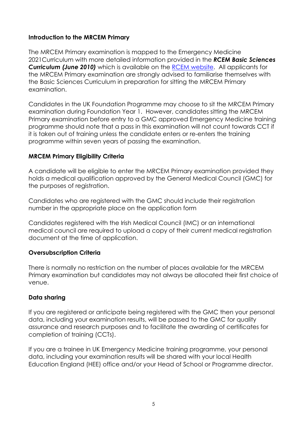## <span id="page-4-0"></span>**Introduction to the MRCEM Primary**

The MRCEM Primary examination is mapped to the Emergency Medicine 2021Curriculum with more detailed information provided in the *RCEM Basic Sciences Curriculum (June 2010)* which is available on the [RCEM website.](https://www.rcem.ac.uk/docs/Training/1.4.4%20Basic%20Sciences%20Curriculum.pdf) All applicants for the MRCEM Primary examination are strongly advised to familiarise themselves with the Basic Sciences Curriculum in preparation for sitting the MRCEM Primary examination.

Candidates in the UK Foundation Programme may choose to sit the MRCEM Primary examination during Foundation Year 1. However, candidates sitting the MRCEM Primary examination before entry to a GMC approved Emergency Medicine training programme should note that a pass in this examination will not count towards CCT if it is taken out of training unless the candidate enters or re-enters the training programme within seven years of passing the examination.

## <span id="page-4-1"></span>**MRCEM Primary Eligibility Criteria**

A candidate will be eligible to enter the MRCEM Primary examination provided they holds a medical qualification approved by the General Medical Council (GMC) for the purposes of registration.

Candidates who are registered with the GMC should include their registration number in the appropriate place on the application form

Candidates registered with the Irish Medical Council (IMC) or an international medical council are required to upload a copy of their current medical registration document at the time of application.

### <span id="page-4-2"></span>**Oversubscription Criteria**

There is normally no restriction on the number of places available for the MRCEM Primary examination but candidates may not always be allocated their first choice of venue.

### **Data sharing**

If you are registered or anticipate being registered with the GMC then your personal data, including your examination results, will be passed to the GMC for quality assurance and research purposes and to facilitate the awarding of certificates for completion of training (CCTs).

If you are a trainee in UK Emergency Medicine training programme, your personal data, including your examination results will be shared with your local Health Education England (HEE) office and/or your Head of School or Programme director.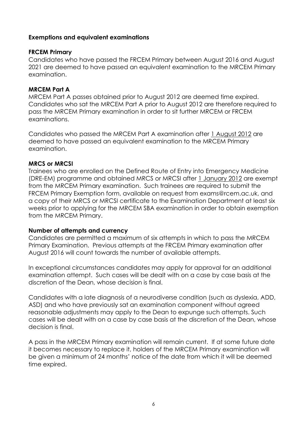## <span id="page-5-0"></span>**Exemptions and equivalent examinations**

### **FRCEM Primary**

Candidates who have passed the FRCEM Primary between August 2016 and August 2021 are deemed to have passed an equivalent examination to the MRCEM Primary examination.

#### **MRCEM Part A**

MRCEM Part A passes obtained prior to August 2012 are deemed time expired. Candidates who sat the MRCEM Part A prior to August 2012 are therefore required to pass the MRCEM Primary examination in order to sit further MRCEM or FRCEM examinations.

Candidates who passed the MRCEM Part A examination after 1 August 2012 are deemed to have passed an equivalent examination to the MRCEM Primary examination.

#### **MRCS or MRCSI**

Trainees who are enrolled on the Defined Route of Entry into Emergency Medicine (DRE-EM) programme and obtained MRCS or MRCSI after 1 January 2012 are exempt from the MRCEM Primary examination. Such trainees are required to submit the FRCEM Primary Exemption form, available on request from exams@rcem.ac.uk, and a copy of their MRCS or MRCSI certificate to the Examination Department at least six weeks prior to applying for the MRCEM SBA examination in order to obtain exemption from the MRCEM Primary.

#### <span id="page-5-1"></span>**Number of attempts and currency**

Candidates are permitted a maximum of six attempts in which to pass the MRCEM Primary Examination. Previous attempts at the FRCEM Primary examination after August 2016 will count towards the number of available attempts.

In exceptional circumstances candidates may apply for approval for an additional examination attempt. Such cases will be dealt with on a case by case basis at the discretion of the Dean, whose decision is final.

Candidates with a late diagnosis of a neurodiverse condition (such as dyslexia, ADD, ASD) and who have previously sat an examination component without agreed reasonable adjustments may apply to the Dean to expunge such attempts. Such cases will be dealt with on a case by case basis at the discretion of the Dean, whose decision is final.

A pass in the MRCEM Primary examination will remain current. If at some future date it becomes necessary to replace it, holders of the MRCEM Primary examination will be given a minimum of 24 months' notice of the date from which it will be deemed time expired.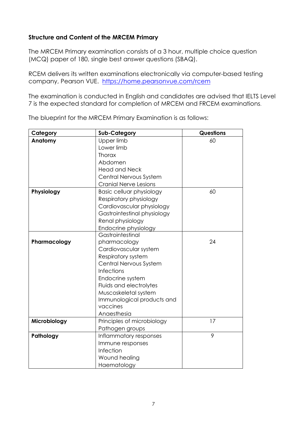## <span id="page-6-0"></span>**Structure and Content of the MRCEM Primary**

The MRCEM Primary examination consists of a 3 hour, multiple choice question (MCQ) paper of 180, single best answer questions (SBAQ).

RCEM delivers its written examinations electronically via computer-based testing company, Pearson VUE. https://home.pearsonvue.com/rcem

The examination is conducted in English and candidates are advised that IELTS Level 7 is the expected standard for completion of MRCEM and FRCEM examinations.

<span id="page-6-1"></span>

| Category     | <b>Sub-Category</b>          | Questions |
|--------------|------------------------------|-----------|
| Anatomy      | Upper limb                   | 60        |
|              | Lower limb                   |           |
|              | <b>Thorax</b>                |           |
|              | Abdomen                      |           |
|              | <b>Head and Neck</b>         |           |
|              | Central Nervous System       |           |
|              | <b>Cranial Nerve Lesions</b> |           |
| Physiology   | Basic celluar physiology     | 60        |
|              | Respiratory physiology       |           |
|              | Cardiovascular physiology    |           |
|              | Gastrointestinal physiology  |           |
|              | Renal physiology             |           |
|              | Endocrine physiology         |           |
|              | Gastrointestinal             |           |
| Pharmacology | pharmacology                 | 24        |
|              | Cardiovascular system        |           |
|              | Respiratory system           |           |
|              | Central Nervous System       |           |
|              | Infections                   |           |
|              | Endocrine system             |           |
|              | Fluids and electrolytes      |           |
|              | Muscoskeletal system         |           |
|              | Immunological products and   |           |
|              | vaccines                     |           |
|              | Anaesthesia                  |           |
| Microbiology | Principles of microbiology   | 17        |
|              | Pathogen groups              |           |
| Pathology    | Inflammatory responses       | 9         |
|              | Immune responses             |           |
|              | Infection                    |           |
|              | Wound healing                |           |
|              | Haematology                  |           |

The blueprint for the MRCEM Primary Examination is as follows: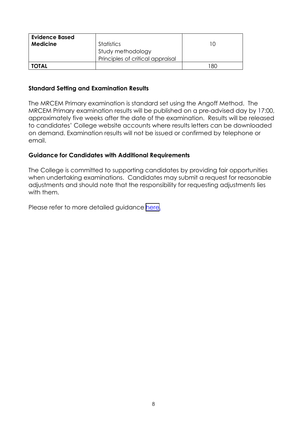| <b>Evidence Based</b><br><b>Medicine</b> | <b>Statistics</b><br>Study methodology<br>Principles of critical appraisal |     |
|------------------------------------------|----------------------------------------------------------------------------|-----|
| <b>TOTAL</b>                             |                                                                            | -80 |

### **Standard Setting and Examination Results**

The MRCEM Primary examination is standard set using the Angoff Method. The MRCEM Primary examination results will be published on a pre-advised day by 17:00, approximately five weeks after the date of the examination. Results will be released to candidates' College website accounts where results letters can be downloaded on demand. Examination results will not be issued or confirmed by telephone or email.

## <span id="page-7-0"></span>**Guidance for Candidates with Additional Requirements**

The College is committed to supporting candidates by providing fair opportunities when undertaking examinations. Candidates may submit a request for reasonable adjustments and should note that the responsibility for requesting adjustments lies with them.

Please refer to more detailed auidance here.